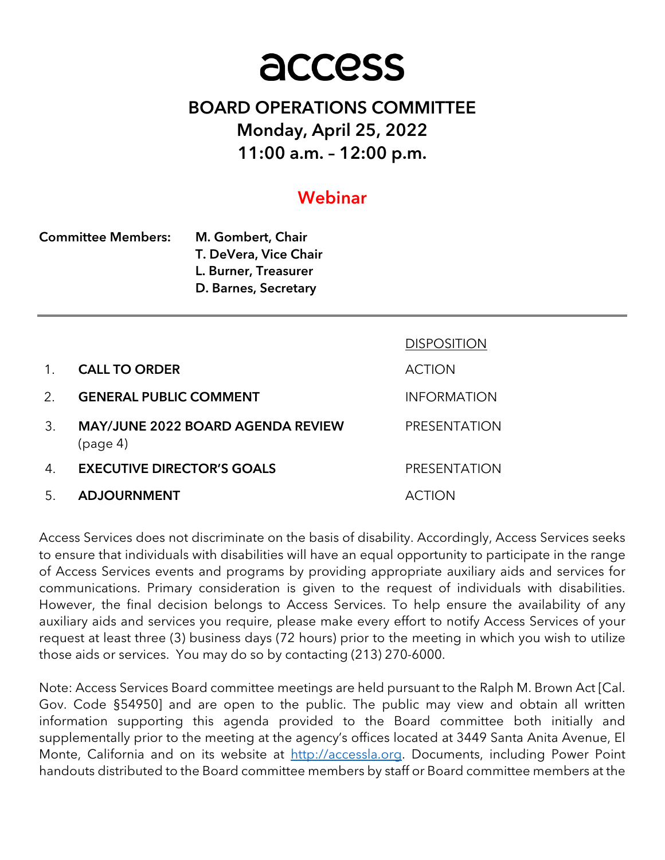# access

# BOARD OPERATIONS COMMITTEE Monday, April 25, 2022 11:00 a.m. – 12:00 p.m.

# Webinar

| <b>Committee Members:</b> | M. Gombert, Chair     |  |
|---------------------------|-----------------------|--|
|                           | T. DeVera, Vice Chair |  |
|                           | L. Burner, Treasurer  |  |
|                           | D. Barnes, Secretary  |  |

|             |                                                      | <b>DISPOSITION</b>  |
|-------------|------------------------------------------------------|---------------------|
| $1_{-}$     | <b>CALL TO ORDER</b>                                 | <b>ACTION</b>       |
| $2^{\circ}$ | <b>GENERAL PUBLIC COMMENT</b>                        | <b>INFORMATION</b>  |
| 3.          | <b>MAY/JUNE 2022 BOARD AGENDA REVIEW</b><br>(page 4) | <b>PRESENTATION</b> |
| 4.          | <b>EXECUTIVE DIRECTOR'S GOALS</b>                    | <b>PRESENTATION</b> |
| 5.          | <b>ADJOURNMENT</b>                                   | ACTION              |

Access Services does not discriminate on the basis of disability. Accordingly, Access Services seeks to ensure that individuals with disabilities will have an equal opportunity to participate in the range of Access Services events and programs by providing appropriate auxiliary aids and services for communications. Primary consideration is given to the request of individuals with disabilities. However, the final decision belongs to Access Services. To help ensure the availability of any auxiliary aids and services you require, please make every effort to notify Access Services of your request at least three (3) business days (72 hours) prior to the meeting in which you wish to utilize those aids or services. You may do so by contacting (213) 270-6000.

Note: Access Services Board committee meetings are held pursuant to the Ralph M. Brown Act [Cal. Gov. Code §54950] and are open to the public. The public may view and obtain all written information supporting this agenda provided to the Board committee both initially and supplementally prior to the meeting at the agency's offices located at 3449 Santa Anita Avenue, El Monte, California and on its website at http://accessla.org. Documents, including Power Point handouts distributed to the Board committee members by staff or Board committee members at the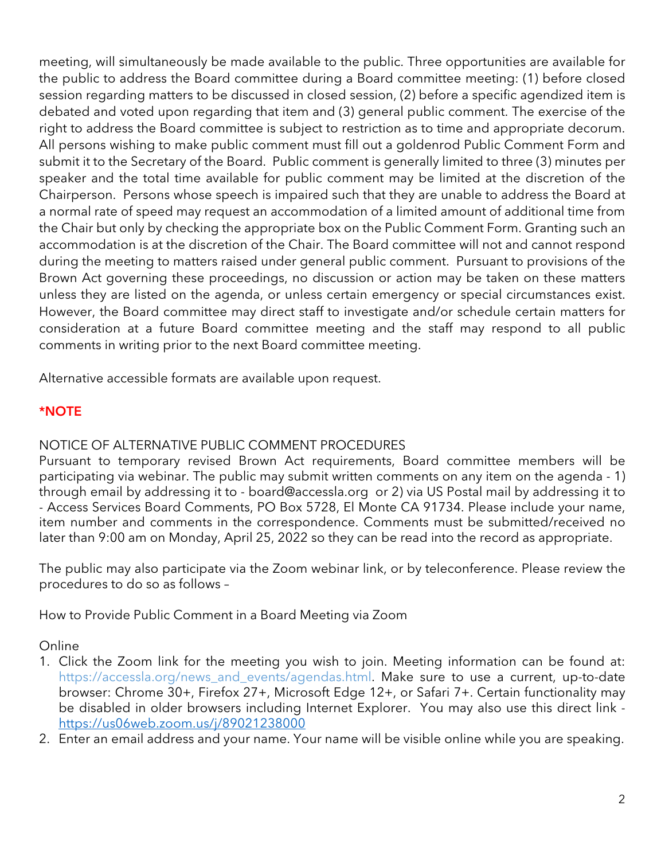meeting, will simultaneously be made available to the public. Three opportunities are available for the public to address the Board committee during a Board committee meeting: (1) before closed session regarding matters to be discussed in closed session, (2) before a specific agendized item is debated and voted upon regarding that item and (3) general public comment. The exercise of the right to address the Board committee is subject to restriction as to time and appropriate decorum. All persons wishing to make public comment must fill out a goldenrod Public Comment Form and submit it to the Secretary of the Board. Public comment is generally limited to three (3) minutes per speaker and the total time available for public comment may be limited at the discretion of the Chairperson. Persons whose speech is impaired such that they are unable to address the Board at a normal rate of speed may request an accommodation of a limited amount of additional time from the Chair but only by checking the appropriate box on the Public Comment Form. Granting such an accommodation is at the discretion of the Chair. The Board committee will not and cannot respond during the meeting to matters raised under general public comment. Pursuant to provisions of the Brown Act governing these proceedings, no discussion or action may be taken on these matters unless they are listed on the agenda, or unless certain emergency or special circumstances exist. However, the Board committee may direct staff to investigate and/or schedule certain matters for consideration at a future Board committee meeting and the staff may respond to all public comments in writing prior to the next Board committee meeting.

Alternative accessible formats are available upon request.

## \*NOTE

## NOTICE OF ALTERNATIVE PUBLIC COMMENT PROCEDURES

Pursuant to temporary revised Brown Act requirements, Board committee members will be participating via webinar. The public may submit written comments on any item on the agenda - 1) through email by addressing it to - board@accessla.org or 2) via US Postal mail by addressing it to - Access Services Board Comments, PO Box 5728, El Monte CA 91734. Please include your name, item number and comments in the correspondence. Comments must be submitted/received no later than 9:00 am on Monday, April 25, 2022 so they can be read into the record as appropriate.

The public may also participate via the Zoom webinar link, or by teleconference. Please review the procedures to do so as follows –

How to Provide Public Comment in a Board Meeting via Zoom

Online

- 1. Click the Zoom link for the meeting you wish to join. Meeting information can be found at: https://accessla.org/news\_and\_events/agendas.html. Make sure to use a current, up-to-date browser: Chrome 30+, Firefox 27+, Microsoft Edge 12+, or Safari 7+. Certain functionality may be disabled in older browsers including Internet Explorer. You may also use this direct link https://us06web.zoom.us/j/89021238000
- 2. Enter an email address and your name. Your name will be visible online while you are speaking.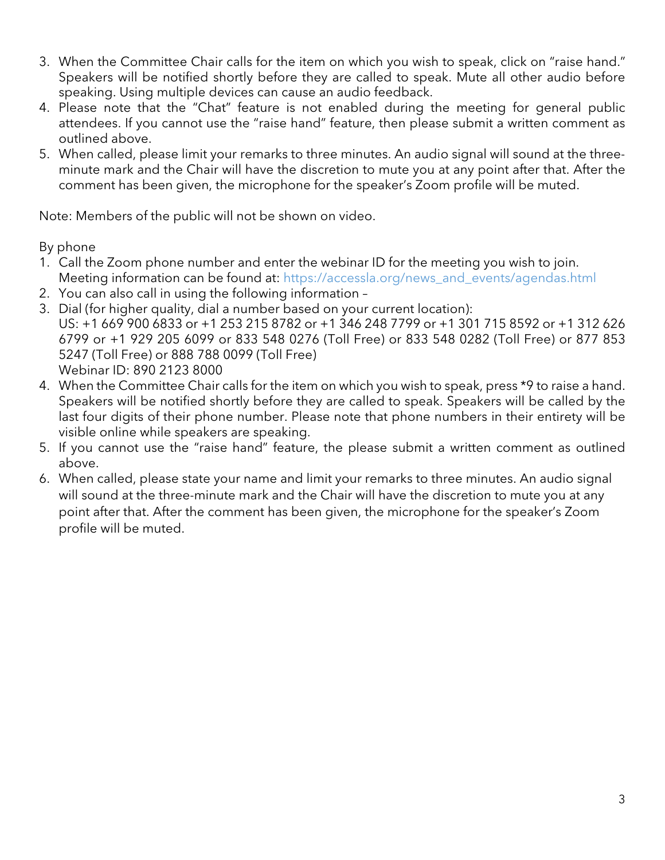- 3. When the Committee Chair calls for the item on which you wish to speak, click on "raise hand." Speakers will be notified shortly before they are called to speak. Mute all other audio before speaking. Using multiple devices can cause an audio feedback.
- 4. Please note that the "Chat" feature is not enabled during the meeting for general public attendees. If you cannot use the "raise hand" feature, then please submit a written comment as outlined above.
- 5. When called, please limit your remarks to three minutes. An audio signal will sound at the threeminute mark and the Chair will have the discretion to mute you at any point after that. After the comment has been given, the microphone for the speaker's Zoom profile will be muted.

Note: Members of the public will not be shown on video.

By phone

- 1. Call the Zoom phone number and enter the webinar ID for the meeting you wish to join. Meeting information can be found at: https://accessla.org/news\_and\_events/agendas.html
- 2. You can also call in using the following information –
- 3. Dial (for higher quality, dial a number based on your current location): US: +1 669 900 6833 or +1 253 215 8782 or +1 346 248 7799 or +1 301 715 8592 or +1 312 626 6799 or +1 929 205 6099 or 833 548 0276 (Toll Free) or 833 548 0282 (Toll Free) or 877 853 5247 (Toll Free) or 888 788 0099 (Toll Free) Webinar ID: 890 2123 8000
- 4. When the Committee Chair calls for the item on which you wish to speak, press \*9 to raise a hand. Speakers will be notified shortly before they are called to speak. Speakers will be called by the last four digits of their phone number. Please note that phone numbers in their entirety will be visible online while speakers are speaking.
- 5. If you cannot use the "raise hand" feature, the please submit a written comment as outlined above.
- 6. When called, please state your name and limit your remarks to three minutes. An audio signal will sound at the three-minute mark and the Chair will have the discretion to mute you at any point after that. After the comment has been given, the microphone for the speaker's Zoom profile will be muted.